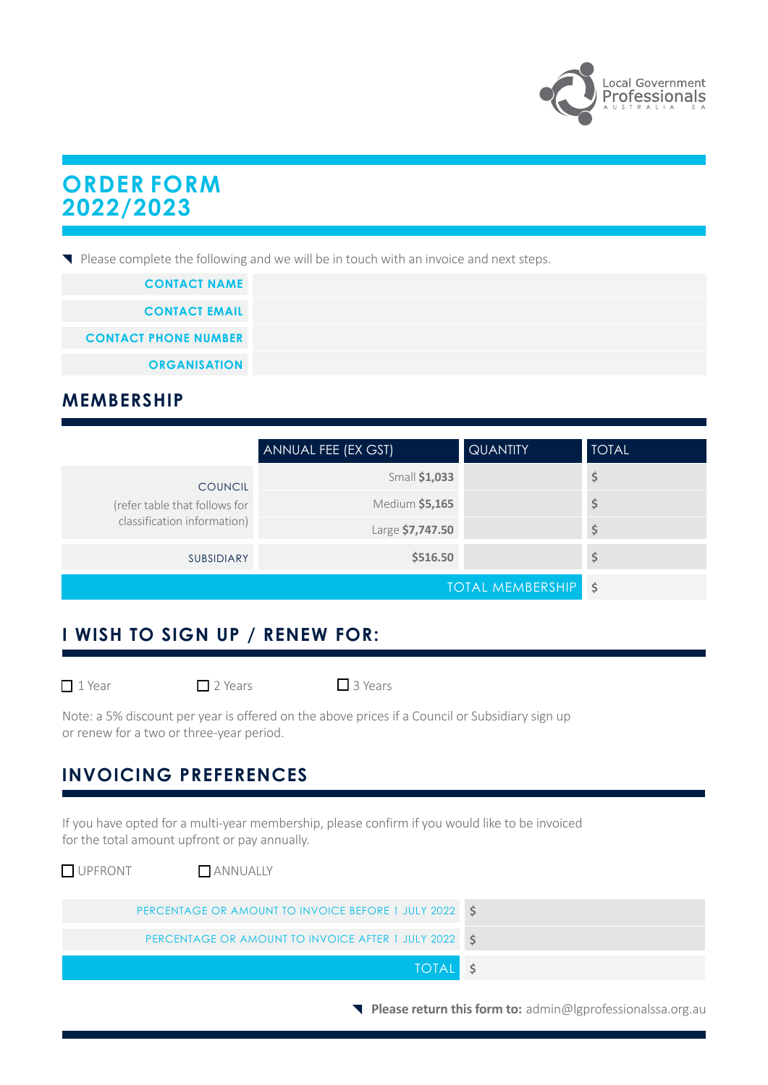

# **ORDER FORM 2022/2023**

Please complete the following and we will be in touch with an invoice and next steps.

| <b>CONTACT NAME</b>         |
|-----------------------------|
| <b>CONTACT EMAIL</b>        |
| <b>CONTACT PHONE NUMBER</b> |
| <b>ORGANISATION</b>         |

### **MEMBERSHIP**

|                                                                                | ANNUAL FEE (EX GST) | <b>QUANTITY</b> | <b>TOTAL</b> |
|--------------------------------------------------------------------------------|---------------------|-----------------|--------------|
| <b>COUNCIL</b><br>(refer table that follows for<br>classification information) | Small \$1,033       |                 | Ş            |
|                                                                                | Medium \$5,165      |                 | \$           |
|                                                                                | Large \$7,747.50    |                 | \$           |
| SUBSIDIARY                                                                     | \$516.50            |                 | \$           |
| <b>TOTAL MEMBERSHIP</b>                                                        |                     | -\$             |              |

## **: I WISH TO SIGN UP / RENEW FOR:**

 $\Box$  2 Years  $\Box$  3 Years

Note: a 5% discount per year is offered on the above prices if a Council or Subsidiary sign up or renew for a two or three-year period.

## **INVOICING PREFERENCES**

If you have opted for a multi-year membership, please confirm if you would like to be invoiced for the total amount upfront or pay annually.

| UPFRONT<br>ANNUALLY                                   |  |
|-------------------------------------------------------|--|
| PERCENTAGE OR AMOUNT TO INVOICE BEFORE 1 JULY 2022 \$ |  |
| PERCENTAGE OR AMOUNT TO INVOICE AFTER 1 JULY 2022 \$  |  |
| TOTAL \$                                              |  |

**Please return this form to:** admin@lgprofessionalssa.org.au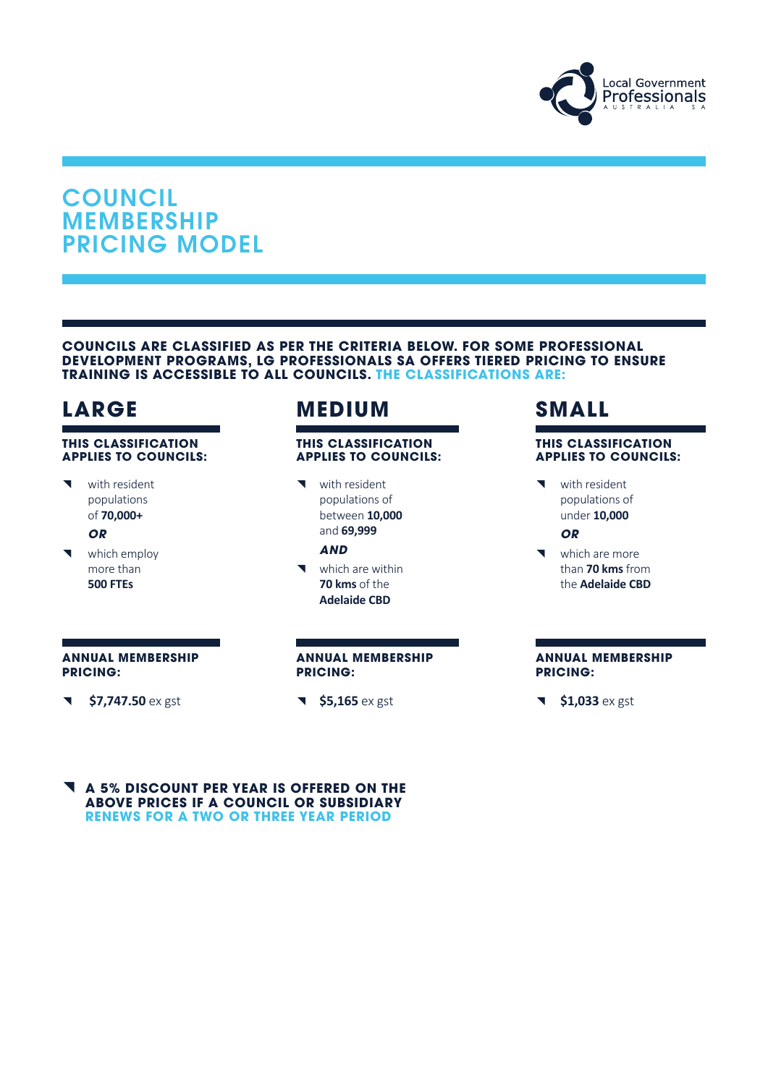

# **COUNCIL** MEMBERSHIP PRICING MODEL

#### **COUNCILS ARE CLASSIFIED AS PER THE CRITERIA BELOW. FOR SOME PROFESSIONAL DEVELOPMENT PROGRAMS, LG PROFESSIONALS SA OFFERS TIERED PRICING TO ENSURE TRAINING IS ACCESSIBLE TO ALL COUNCILS. THE CLASSIFICATIONS ARE:**

#### **THIS CLASSIFICATION APPLIES TO COUNCILS:**

◥ with resident populations of **70,000+**

*OR*

◥ which employ more than **500 FTEs**

# **LARGE MEDIUM SMALL**

### **THIS CLASSIFICATION APPLIES TO COUNCILS:**

◥ with resident populations of between **10,000** and **69,999**

### *AND*

◥ which are within **70 kms** of the **Adelaide CBD**

#### **THIS CLASSIFICATION APPLIES TO COUNCILS:**

◥ with resident populations of under **10,000**

### *OR*

◥ which are more than **70 kms** from the **Adelaide CBD**

#### **ANNUAL MEMBERSHIP PRICING:**

◥ **\$7,747.50** ex gst

#### **ANNUAL MEMBERSHIP PRICING:**

◥ **\$5,165** ex gst

#### **ANNUAL MEMBERSHIP PRICING:**

◥ **\$1,033** ex gst

◥ **A 5% DISCOUNT PER YEAR IS OFFERED ON THE ABOVE PRICES IF A COUNCIL OR SUBSIDIARY RENEWS FOR A TWO OR THREE YEAR PERIOD**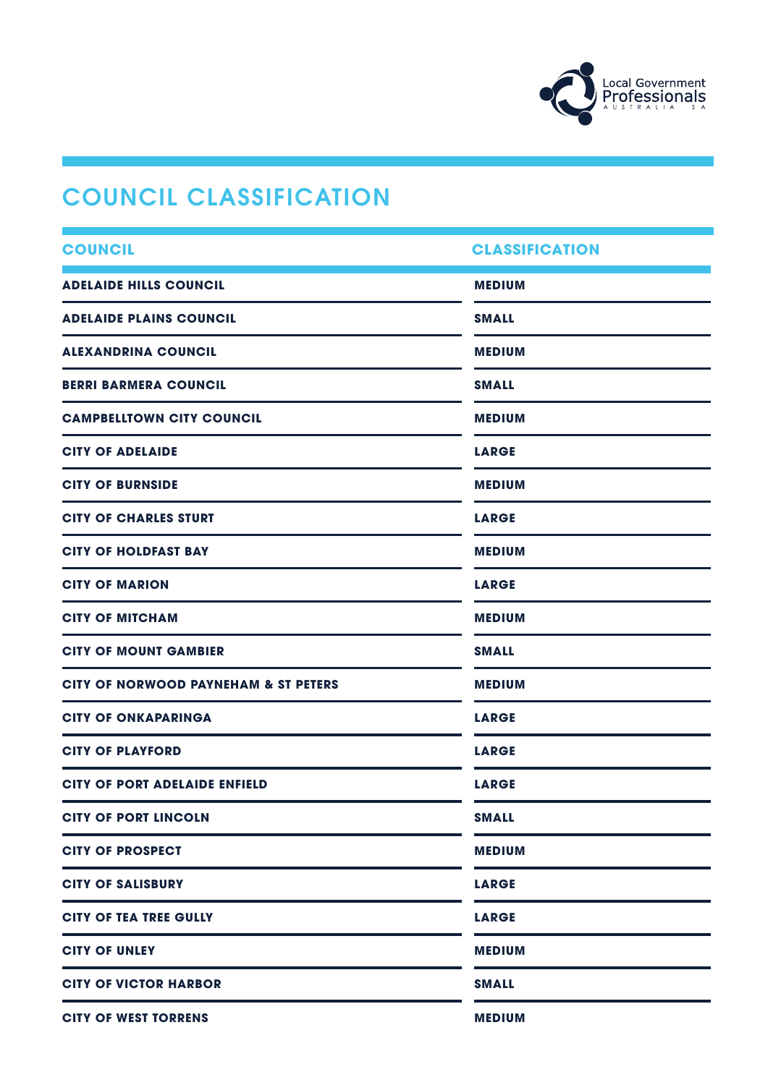

# COUNCIL CLASSIFICATION

| <b>COUNCIL</b>                                  | <b>CLASSIFICATION</b> |
|-------------------------------------------------|-----------------------|
| <b>ADELAIDE HILLS COUNCIL</b>                   | <b>MEDIUM</b>         |
| <b>ADELAIDE PLAINS COUNCIL</b>                  | <b>SMALL</b>          |
| <b>ALEXANDRINA COUNCIL</b>                      | <b>MEDIUM</b>         |
| <b>BERRI BARMERA COUNCIL</b>                    | <b>SMALL</b>          |
| <b>CAMPBELLTOWN CITY COUNCIL</b>                | <b>MEDIUM</b>         |
| <b>CITY OF ADELAIDE</b>                         | <b>LARGE</b>          |
| <b>CITY OF BURNSIDE</b>                         | <b>MEDIUM</b>         |
| <b>CITY OF CHARLES STURT</b>                    | <b>LARGE</b>          |
| <b>CITY OF HOLDFAST BAY</b>                     | <b>MEDIUM</b>         |
| <b>CITY OF MARION</b>                           | <b>LARGE</b>          |
| <b>CITY OF MITCHAM</b>                          | <b>MEDIUM</b>         |
| <b>CITY OF MOUNT GAMBIER</b>                    | <b>SMALL</b>          |
| <b>CITY OF NORWOOD PAYNEHAM &amp; ST PETERS</b> | <b>MEDIUM</b>         |
| <b>CITY OF ONKAPARINGA</b>                      | <b>LARGE</b>          |
| <b>CITY OF PLAYFORD</b>                         | <b>LARGE</b>          |
| <b>CITY OF PORT ADELAIDE ENFIELD</b>            | <b>LARGE</b>          |
| <b>CITY OF PORT LINCOLN</b>                     | <b>SMALL</b>          |
| <b>CITY OF PROSPECT</b>                         | <b>MEDIUM</b>         |
| <b>CITY OF SALISBURY</b>                        | <b>LARGE</b>          |
| <b>CITY OF TEA TREE GULLY</b>                   | <b>LARGE</b>          |
| <b>CITY OF UNLEY</b>                            | <b>MEDIUM</b>         |
| <b>CITY OF VICTOR HARBOR</b>                    | <b>SMALL</b>          |
| <b>CITY OF WEST TORRENS</b>                     | <b>MEDIUM</b>         |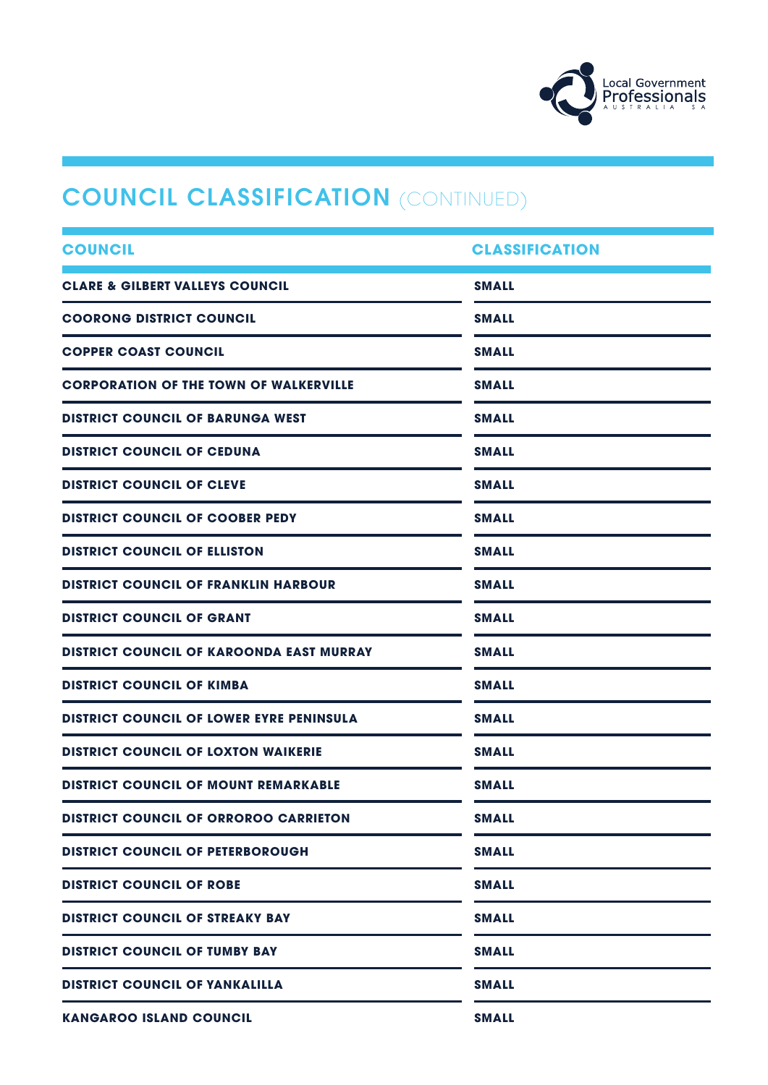

# **COUNCIL CLASSIFICATION (CONTINUED)**

| <b>COUNCIL</b>                                  | <b>CLASSIFICATION</b> |  |
|-------------------------------------------------|-----------------------|--|
| <b>CLARE &amp; GILBERT VALLEYS COUNCIL</b>      | <b>SMALL</b>          |  |
| <b>COORONG DISTRICT COUNCIL</b>                 | <b>SMALL</b>          |  |
| <b>COPPER COAST COUNCIL</b>                     | <b>SMALL</b>          |  |
| <b>CORPORATION OF THE TOWN OF WALKERVILLE</b>   | <b>SMALL</b>          |  |
| <b>DISTRICT COUNCIL OF BARUNGA WEST</b>         | <b>SMALL</b>          |  |
| <b>DISTRICT COUNCIL OF CEDUNA</b>               | <b>SMALL</b>          |  |
| <b>DISTRICT COUNCIL OF CLEVE</b>                | <b>SMALL</b>          |  |
| <b>DISTRICT COUNCIL OF COOBER PEDY</b>          | <b>SMALL</b>          |  |
| <b>DISTRICT COUNCIL OF ELLISTON</b>             | <b>SMALL</b>          |  |
| <b>DISTRICT COUNCIL OF FRANKLIN HARBOUR</b>     | <b>SMALL</b>          |  |
| <b>DISTRICT COUNCIL OF GRANT</b>                | <b>SMALL</b>          |  |
| <b>DISTRICT COUNCIL OF KAROONDA EAST MURRAY</b> | <b>SMALL</b>          |  |
| <b>DISTRICT COUNCIL OF KIMBA</b>                | <b>SMALL</b>          |  |
| <b>DISTRICT COUNCIL OF LOWER EYRE PENINSULA</b> | <b>SMALL</b>          |  |
| <b>DISTRICT COUNCIL OF LOXTON WAIKERIE</b>      | <b>SMALL</b>          |  |
| <b>DISTRICT COUNCIL OF MOUNT REMARKABLE</b>     | <b>SMALL</b>          |  |
| <b>DISTRICT COUNCIL OF ORROROO CARRIETON</b>    | <b>SMALL</b>          |  |
| <b>DISTRICT COUNCIL OF PETERBOROUGH</b>         | <b>SMALL</b>          |  |
| <b>DISTRICT COUNCIL OF ROBE</b>                 | <b>SMALL</b>          |  |
| <b>DISTRICT COUNCIL OF STREAKY BAY</b>          | <b>SMALL</b>          |  |
| <b>DISTRICT COUNCIL OF TUMBY BAY</b>            | <b>SMALL</b>          |  |
| <b>DISTRICT COUNCIL OF YANKALILLA</b>           | <b>SMALL</b>          |  |
| <b>KANGAROO ISLAND COUNCIL</b>                  | <b>SMALL</b>          |  |